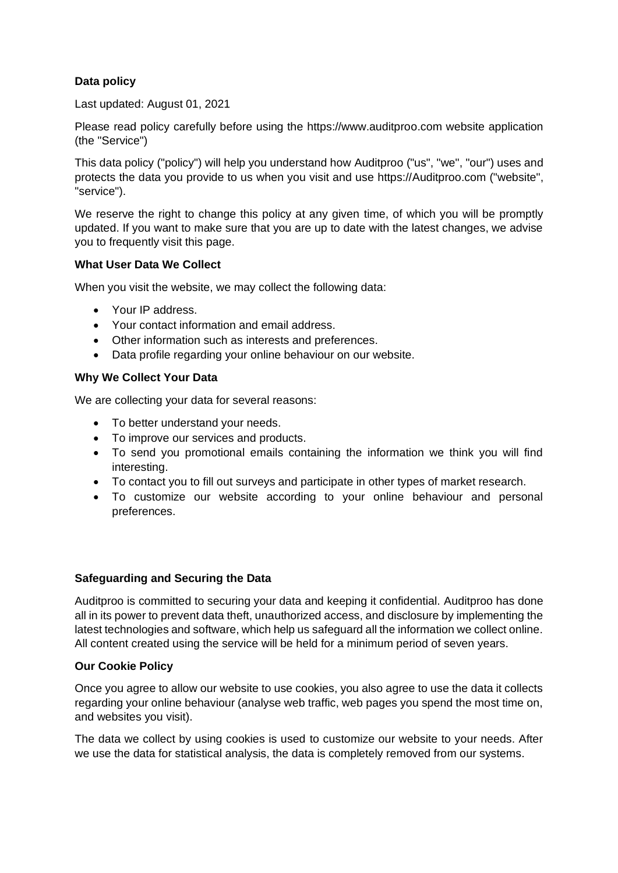# **Data policy**

Last updated: August 01, 2021

Please read policy carefully before using the https://www.auditproo.com website application (the "Service")

This data policy ("policy") will help you understand how Auditproo ("us", "we", "our") uses and protects the data you provide to us when you visit and use https://Auditproo.com ("website", "service").

We reserve the right to change this policy at any given time, of which you will be promptly updated. If you want to make sure that you are up to date with the latest changes, we advise you to frequently visit this page.

## **What User Data We Collect**

When you visit the website, we may collect the following data:

- Your IP address.
- Your contact information and email address.
- Other information such as interests and preferences.
- Data profile regarding your online behaviour on our website.

## **Why We Collect Your Data**

We are collecting your data for several reasons:

- To better understand your needs.
- To improve our services and products.
- To send you promotional emails containing the information we think you will find interesting.
- To contact you to fill out surveys and participate in other types of market research.
- To customize our website according to your online behaviour and personal preferences.

## **Safeguarding and Securing the Data**

Auditproo is committed to securing your data and keeping it confidential. Auditproo has done all in its power to prevent data theft, unauthorized access, and disclosure by implementing the latest technologies and software, which help us safeguard all the information we collect online. All content created using the service will be held for a minimum period of seven years.

## **Our Cookie Policy**

Once you agree to allow our website to use cookies, you also agree to use the data it collects regarding your online behaviour (analyse web traffic, web pages you spend the most time on, and websites you visit).

The data we collect by using cookies is used to customize our website to your needs. After we use the data for statistical analysis, the data is completely removed from our systems.